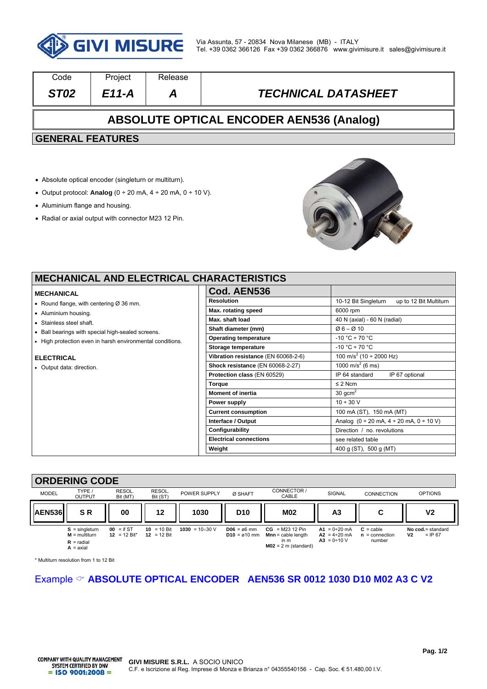

| Code                                            | Project | Release |                            |  |  |  |
|-------------------------------------------------|---------|---------|----------------------------|--|--|--|
| ST <sub>02</sub>                                | E11-A   | Α       | <b>TECHNICAL DATASHEET</b> |  |  |  |
| <b>ABSOLUTE OPTICAL ENCODER AEN536 (Analog)</b> |         |         |                            |  |  |  |
| <b>GENERAL FEATURES</b>                         |         |         |                            |  |  |  |
|                                                 |         |         |                            |  |  |  |

- Absolute optical encoder (singleturn or multiturn).
- Output protocol: **Analog**  $(0 \div 20 \text{ mA}, 4 \div 20 \text{ mA}, 0 \div 10 \text{ V}).$
- Aluminium flange and housing.
- Radial or axial output with connector M23 12 Pin.



| <b>MECHANICAL AND ELECTRICAL CHARACTERISTICS</b>          |                                     |                                                                            |  |  |  |
|-----------------------------------------------------------|-------------------------------------|----------------------------------------------------------------------------|--|--|--|
| <b>MECHANICAL</b>                                         | Cod. AEN536                         |                                                                            |  |  |  |
| • Round flange, with centering $\varnothing$ 36 mm.       | <b>Resolution</b>                   | 10-12 Bit Singleturn<br>up to 12 Bit Multiturn                             |  |  |  |
| • Aluminium housing.                                      | Max. rotating speed                 | 6000 rpm                                                                   |  |  |  |
| • Stainless steel shaft.                                  | Max. shaft load                     | 40 N (axial) - 60 N (radial)                                               |  |  |  |
| • Ball bearings with special high-sealed screens.         | Shaft diameter (mm)                 | $Ø6 - Ø10$                                                                 |  |  |  |
| • High protection even in harsh environmental conditions. | <b>Operating temperature</b>        | $-10 °C \div 70 °C$                                                        |  |  |  |
|                                                           | Storage temperature                 | $-10 °C \div 70 °C$                                                        |  |  |  |
| <b>ELECTRICAL</b>                                         | Vibration resistance (EN 60068-2-6) | 100 m/s <sup>2</sup> (10 ÷ 2000 Hz)                                        |  |  |  |
| • Output data: direction.                                 | Shock resistance (EN 60068-2-27)    | 1000 m/s <sup>2</sup> (6 ms)                                               |  |  |  |
|                                                           | Protection class (EN 60529)         | IP 64 standard<br>IP 67 optional                                           |  |  |  |
|                                                           | <b>Torque</b>                       | $\leq$ 2 Ncm                                                               |  |  |  |
|                                                           | <b>Moment of inertia</b>            | $30 \text{ gcm}^2$                                                         |  |  |  |
|                                                           | Power supply                        | $10 \div 30 \text{ V}$                                                     |  |  |  |
|                                                           | <b>Current consumption</b>          | 100 mA (ST), 150 mA (MT)                                                   |  |  |  |
|                                                           | Interface / Output                  | Analog $(0 \div 20 \text{ mA}, 4 \div 20 \text{ mA}, 0 \div 10 \text{ V})$ |  |  |  |
|                                                           | Configurability                     | Direction / no. revolutions                                                |  |  |  |
|                                                           | <b>Electrical connections</b>       | see related table                                                          |  |  |  |
|                                                           | Weight                              | 400 g (ST), 500 g (MT)                                                     |  |  |  |

#### **ORDERING CODE**  MODEL TYPE / OUTPUT RESOL. Bit (MT) RESOL.<br>Bit (ST) Bit (ST) POWER SUPPLY Ø SHAFT CONNECTOR / CABLE SIGNAL CONNECTION OPTIONS AEN536|| S.R. || 00 || 12 || 1030 || D10 || M02 || A3 || C || V2 **S** = singleturn **M** = multiturn  $R =$  radial  $\Delta$  = axial **00** = if ST **12** = 12 Bit\* **10** = 10 Bit **12** = 12 Bit **1030** = 1030 V **D06** = ø6 mm **D10** = ø10 mm **CG** = M23 12 Pin **Mnn** = cable length in m **M02** = 2 m (standard) **A1** = 0÷20 mA **A2** = 4÷20 mA **A3** = 0÷10 V **C** = cable **n** = connection number **No cod.** = standard **V2** = IP 67

\* Multiturn resolution from 1 to 12 Bit

# Example **ABSOLUTE OPTICAL ENCODER AEN536 SR 0012 1030 D10 M02 A3 C V2**